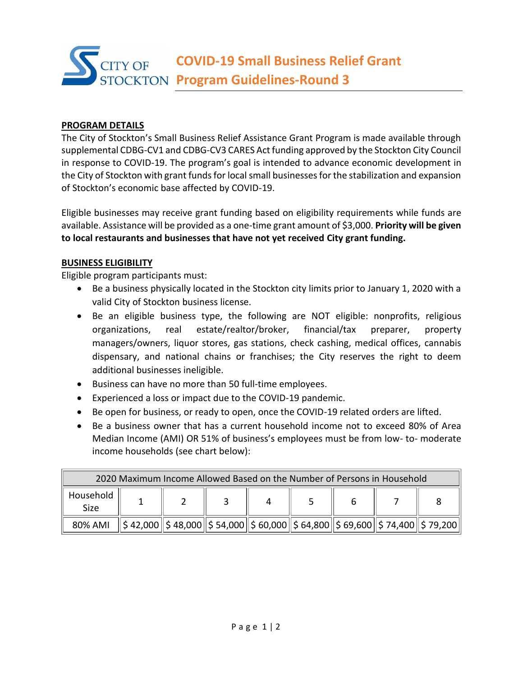# **COVID-19 Small Business Relief Grant ITY OF Program Guidelines-Round 3**

## **PROGRAM DETAILS**

The City of Stockton's Small Business Relief Assistance Grant Program is made available through supplemental CDBG-CV1 and CDBG-CV3 CARES Act funding approved by the Stockton City Council in response to COVID-19. The program's goal is intended to advance economic development in the City of Stockton with grant funds for local small businesses for the stabilization and expansion of Stockton's economic base affected by COVID-19.

Eligible businesses may receive grant funding based on eligibility requirements while funds are available. Assistance will be provided as a one-time grant amount of \$3,000. **Priority will be given to local restaurants and businesses that have not yet received City grant funding.**

#### **BUSINESS ELIGIBILITY**

Eligible program participants must:

- Be a business physically located in the Stockton city limits prior to January 1, 2020 with a valid City of Stockton business license.
- Be an eligible business type, the following are NOT eligible: nonprofits, religious organizations, real estate/realtor/broker, financial/tax preparer, property managers/owners, liquor stores, gas stations, check cashing, medical offices, cannabis dispensary, and national chains or franchises; the City reserves the right to deem additional businesses ineligible.
- Business can have no more than 50 full-time employees.
- Experienced a loss or impact due to the COVID-19 pandemic.
- Be open for business, or ready to open, once the COVID-19 related orders are lifted.
- Be a business owner that has a current household income not to exceed 80% of Area Median Income (AMI) OR 51% of business's employees must be from low- to- moderate income households (see chart below):

| 2020 Maximum Income Allowed Based on the Number of Persons in Household |  |                                                                                                              |  |  |  |  |  |  |
|-------------------------------------------------------------------------|--|--------------------------------------------------------------------------------------------------------------|--|--|--|--|--|--|
| Household<br>Size.                                                      |  |                                                                                                              |  |  |  |  |  |  |
| 80% AMI                                                                 |  | $\ \xi\,42,000\ \xi\,48,000\ \xi\,54,000\ \xi\,60,000\ \xi\,64,800\ \xi\,69,600\ \xi\,74,400\ \xi\,79,200\ $ |  |  |  |  |  |  |